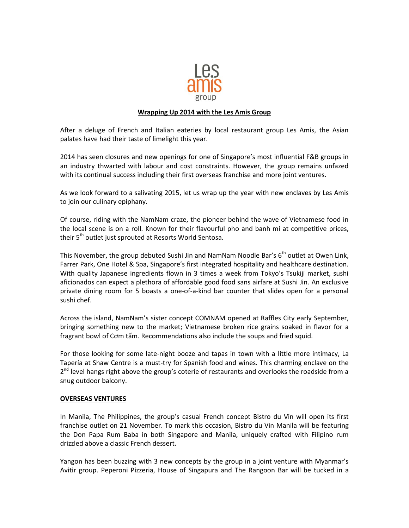

## **Wrapping Up 2014 with the Les Amis Group**

After a deluge of French and Italian eateries by local restaurant group Les Amis, the Asian palates have had their taste of limelight this year.

2014 has seen closures and new openings for one of Singapore's most influential F&B groups in an industry thwarted with labour and cost constraints. However, the group remains unfazed with its continual success including their first overseas franchise and more joint ventures.

As we look forward to a salivating 2015, let us wrap up the year with new enclaves by Les Amis to join our culinary epiphany.

Of course, riding with the NamNam craze, the pioneer behind the wave of Vietnamese food in the local scene is on a roll. Known for their flavourful pho and banh mi at competitive prices, their 5<sup>th</sup> outlet just sprouted at Resorts World Sentosa.

This November, the group debuted Sushi Jin and NamNam Noodle Bar's  $6<sup>th</sup>$  outlet at Owen Link, Farrer Park, One Hotel & Spa, Singapore's first integrated hospitality and healthcare destination. With quality Japanese ingredients flown in 3 times a week from Tokyo's Tsukiji market, sushi aficionados can expect a plethora of affordable good food sans airfare at Sushi Jin. An exclusive private dining room for 5 boasts a one-of-a-kind bar counter that slides open for a personal sushi chef.

Across the island, NamNam's sister concept COMNAM opened at Raffles City early September, bringing something new to the market; Vietnamese broken rice grains soaked in flavor for a fragrant bowl of Cơm tấm. Recommendations also include the soups and fried squid.

For those looking for some late-night booze and tapas in town with a little more intimacy, La Tapería at Shaw Centre is a must-try for Spanish food and wines. This charming enclave on the 2<sup>nd</sup> level hangs right above the group's coterie of restaurants and overlooks the roadside from a snug outdoor balcony.

## **OVERSEAS VENTURES**

In Manila, The Philippines, the group's casual French concept Bistro du Vin will open its first franchise outlet on 21 November. To mark this occasion, Bistro du Vin Manila will be featuring the Don Papa Rum Baba in both Singapore and Manila, uniquely crafted with Filipino rum drizzled above a classic French dessert.

Yangon has been buzzing with 3 new concepts by the group in a joint venture with Myanmar's Avitir group. Peperoni Pizzeria, House of Singapura and The Rangoon Bar will be tucked in a